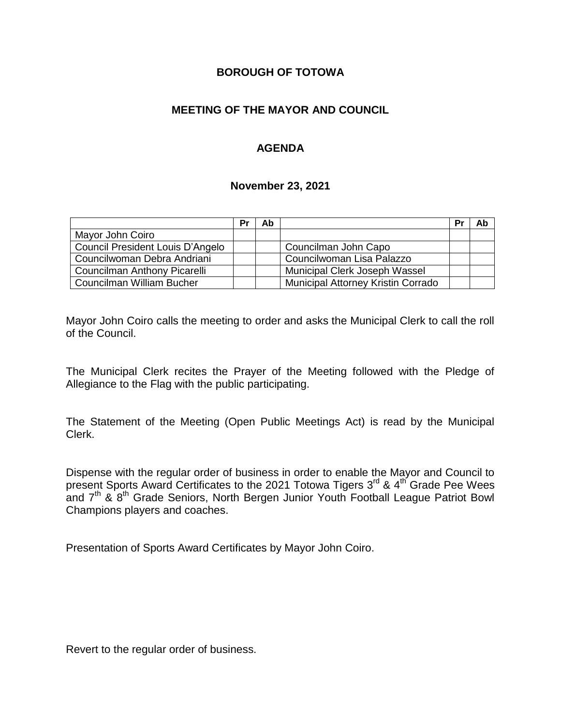### **BOROUGH OF TOTOWA**

# **MEETING OF THE MAYOR AND COUNCIL**

# **AGENDA**

#### **November 23, 2021**

|                                  | Pr | Ab |                                    | Pr | Ab |
|----------------------------------|----|----|------------------------------------|----|----|
| Mayor John Coiro                 |    |    |                                    |    |    |
| Council President Louis D'Angelo |    |    | Councilman John Capo               |    |    |
| Councilwoman Debra Andriani      |    |    | Councilwoman Lisa Palazzo          |    |    |
| Councilman Anthony Picarelli     |    |    | Municipal Clerk Joseph Wassel      |    |    |
| Councilman William Bucher        |    |    | Municipal Attorney Kristin Corrado |    |    |

Mayor John Coiro calls the meeting to order and asks the Municipal Clerk to call the roll of the Council.

The Municipal Clerk recites the Prayer of the Meeting followed with the Pledge of Allegiance to the Flag with the public participating.

The Statement of the Meeting (Open Public Meetings Act) is read by the Municipal Clerk.

Dispense with the regular order of business in order to enable the Mayor and Council to present Sports Award Certificates to the 2021 Totowa Tigers 3<sup>rd</sup> & 4<sup>th</sup> Grade Pee Wees and 7<sup>th</sup> & 8<sup>th</sup> Grade Seniors, North Bergen Junior Youth Football League Patriot Bowl Champions players and coaches.

Presentation of Sports Award Certificates by Mayor John Coiro.

Revert to the regular order of business.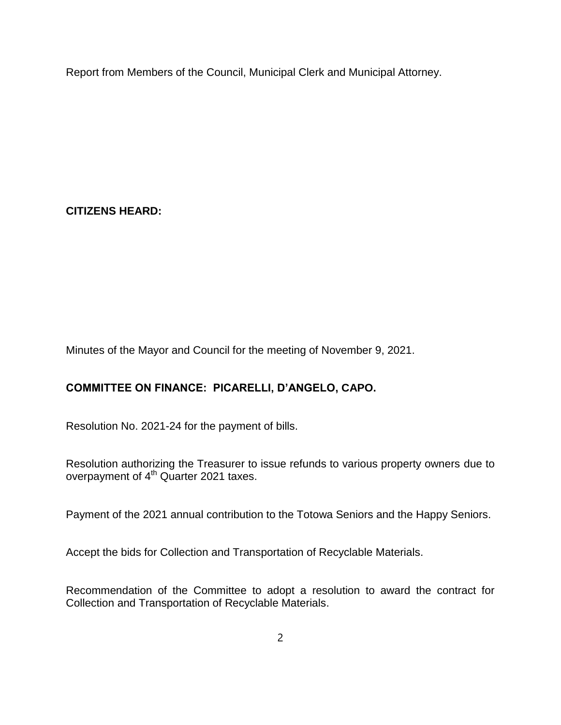Report from Members of the Council, Municipal Clerk and Municipal Attorney.

**CITIZENS HEARD:**

Minutes of the Mayor and Council for the meeting of November 9, 2021.

# **COMMITTEE ON FINANCE: PICARELLI, D'ANGELO, CAPO.**

Resolution No. 2021-24 for the payment of bills.

Resolution authorizing the Treasurer to issue refunds to various property owners due to overpayment of 4th Quarter 2021 taxes.

Payment of the 2021 annual contribution to the Totowa Seniors and the Happy Seniors.

Accept the bids for Collection and Transportation of Recyclable Materials.

Recommendation of the Committee to adopt a resolution to award the contract for Collection and Transportation of Recyclable Materials.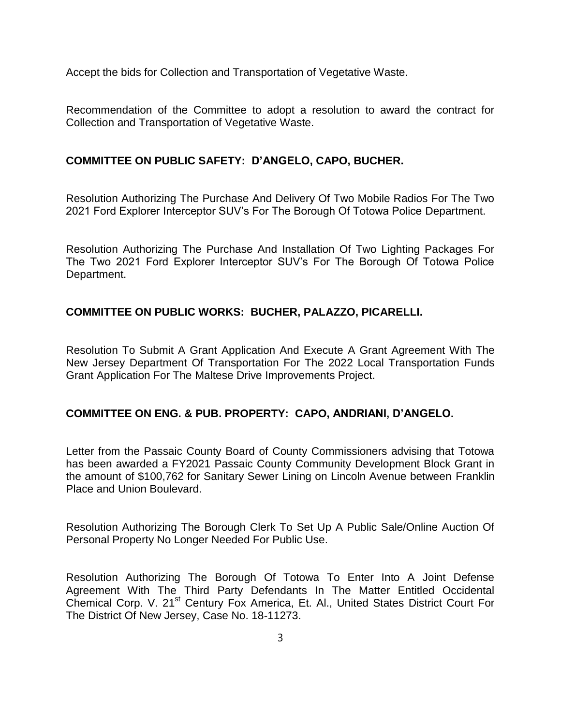Accept the bids for Collection and Transportation of Vegetative Waste.

Recommendation of the Committee to adopt a resolution to award the contract for Collection and Transportation of Vegetative Waste.

#### **COMMITTEE ON PUBLIC SAFETY: D'ANGELO, CAPO, BUCHER.**

Resolution Authorizing The Purchase And Delivery Of Two Mobile Radios For The Two 2021 Ford Explorer Interceptor SUV's For The Borough Of Totowa Police Department.

Resolution Authorizing The Purchase And Installation Of Two Lighting Packages For The Two 2021 Ford Explorer Interceptor SUV's For The Borough Of Totowa Police Department.

#### **COMMITTEE ON PUBLIC WORKS: BUCHER, PALAZZO, PICARELLI.**

Resolution To Submit A Grant Application And Execute A Grant Agreement With The New Jersey Department Of Transportation For The 2022 Local Transportation Funds Grant Application For The Maltese Drive Improvements Project.

#### **COMMITTEE ON ENG. & PUB. PROPERTY: CAPO, ANDRIANI, D'ANGELO.**

Letter from the Passaic County Board of County Commissioners advising that Totowa has been awarded a FY2021 Passaic County Community Development Block Grant in the amount of \$100,762 for Sanitary Sewer Lining on Lincoln Avenue between Franklin Place and Union Boulevard.

Resolution Authorizing The Borough Clerk To Set Up A Public Sale/Online Auction Of Personal Property No Longer Needed For Public Use.

Resolution Authorizing The Borough Of Totowa To Enter Into A Joint Defense Agreement With The Third Party Defendants In The Matter Entitled Occidental Chemical Corp. V. 21<sup>st</sup> Century Fox America, Et. Al., United States District Court For The District Of New Jersey, Case No. 18-11273.